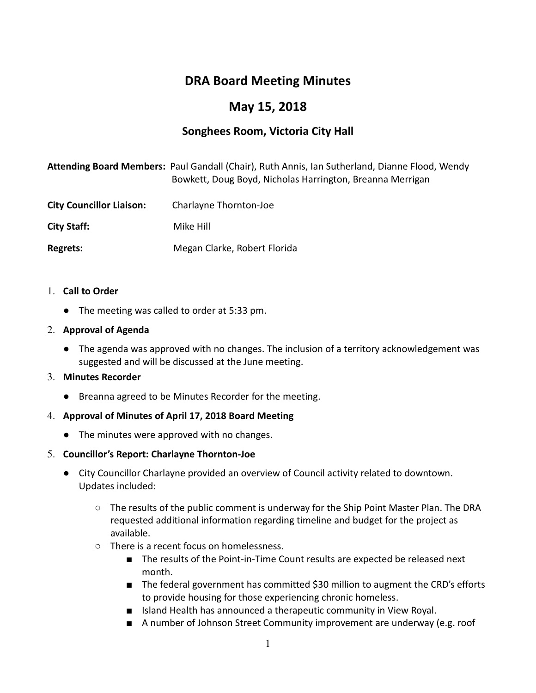# DRA Board Meeting Minutes

# May 15, 2018

# Songhees Room, Victoria City Hall

|                                 | Attending Board Members: Paul Gandall (Chair), Ruth Annis, Ian Sutherland, Dianne Flood, Wendy<br>Bowkett, Doug Boyd, Nicholas Harrington, Breanna Merrigan |
|---------------------------------|-------------------------------------------------------------------------------------------------------------------------------------------------------------|
| <b>City Councillor Liaison:</b> | Charlayne Thornton-Joe                                                                                                                                      |
| <b>City Staff:</b>              | Mike Hill                                                                                                                                                   |
| Regrets:                        | Megan Clarke, Robert Florida                                                                                                                                |

- 1. Call to Order
	- The meeting was called to order at 5:33 pm.

#### 2. Approval of Agenda

● The agenda was approved with no changes. The inclusion of a territory acknowledgement was suggested and will be discussed at the June meeting.

## 3. Minutes Recorder

● Breanna agreed to be Minutes Recorder for the meeting.

## 4. Approval of Minutes of April 17, 2018 Board Meeting

● The minutes were approved with no changes.

#### 5. Councillor's Report: Charlayne Thornton-Joe

- City Councillor Charlayne provided an overview of Council activity related to downtown. Updates included:
	- The results of the public comment is underway for the Ship Point Master Plan. The DRA requested additional information regarding timeline and budget for the project as available.
	- There is a recent focus on homelessness.
		- The results of the Point-in-Time Count results are expected be released next month.
		- The federal government has committed \$30 million to augment the CRD's efforts to provide housing for those experiencing chronic homeless.
		- Island Health has announced a therapeutic community in View Royal.
		- A number of Johnson Street Community improvement are underway (e.g. roof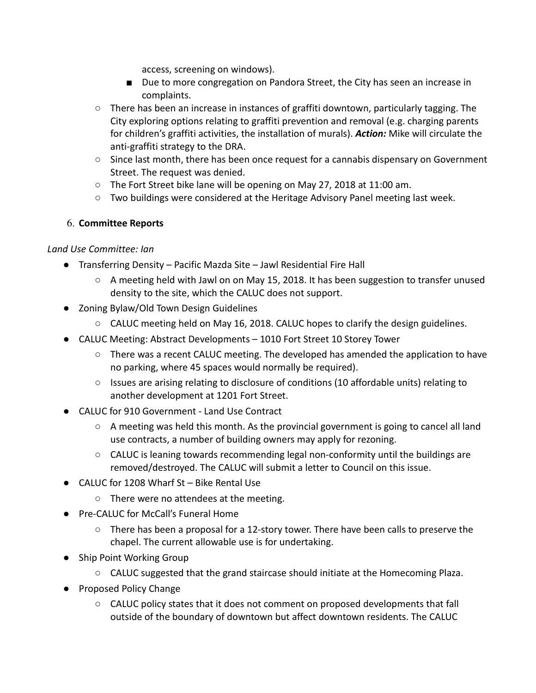access, screening on windows).

- Due to more congregation on Pandora Street, the City has seen an increase in complaints.
- $\circ$  There has been an increase in instances of graffiti downtown, particularly tagging. The City exploring options relating to graffiti prevention and removal (e.g. charging parents for children's graffiti activities, the installation of murals). Action: Mike will circulate the anti-graffiti strategy to the DRA.
- Since last month, there has been once request for a cannabis dispensary on Government Street. The request was denied.
- The Fort Street bike lane will be opening on May 27, 2018 at 11:00 am.
- Two buildings were considered at the Heritage Advisory Panel meeting last week.

# 6. Committee Reports

## Land Use Committee: Ian

- Transferring Density Pacific Mazda Site Jawl Residential Fire Hall
	- $\circ$  A meeting held with Jawl on on May 15, 2018. It has been suggestion to transfer unused density to the site, which the CALUC does not support.
- Zoning Bylaw/Old Town Design Guidelines
	- CALUC meeting held on May 16, 2018. CALUC hopes to clarify the design guidelines.
- CALUC Meeting: Abstract Developments 1010 Fort Street 10 Storey Tower
	- There was a recent CALUC meeting. The developed has amended the application to have no parking, where 45 spaces would normally be required).
	- Issues are arising relating to disclosure of conditions (10 affordable units) relating to another development at 1201 Fort Street.
- CALUC for 910 Government Land Use Contract
	- $\circ$  A meeting was held this month. As the provincial government is going to cancel all land use contracts, a number of building owners may apply for rezoning.
	- $\circ$  CALUC is leaning towards recommending legal non-conformity until the buildings are removed/destroyed. The CALUC will submit a letter to Council on this issue.
- CALUC for 1208 Wharf St Bike Rental Use
	- There were no attendees at the meeting.
- Pre-CALUC for McCall's Funeral Home
	- There has been a proposal for a 12-story tower. There have been calls to preserve the chapel. The current allowable use is for undertaking.
- Ship Point Working Group
	- CALUC suggested that the grand staircase should initiate at the Homecoming Plaza.
- Proposed Policy Change
	- CALUC policy states that it does not comment on proposed developments that fall outside of the boundary of downtown but affect downtown residents. The CALUC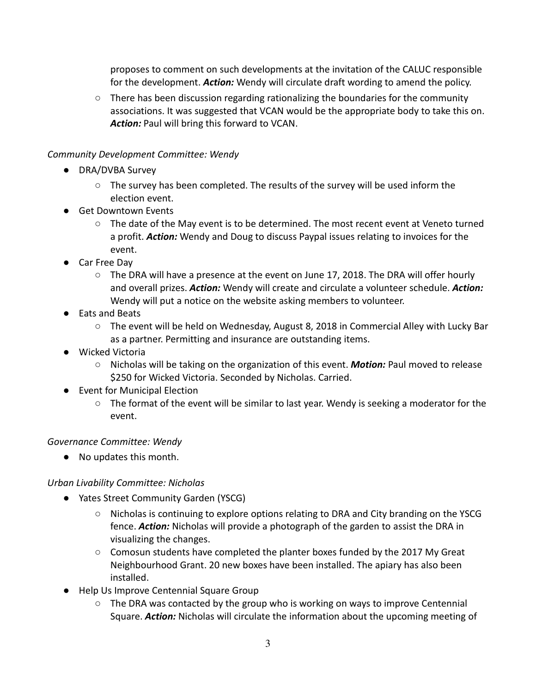proposes to comment on such developments at the invitation of the CALUC responsible for the development. Action: Wendy will circulate draft wording to amend the policy.

 $\circ$  There has been discussion regarding rationalizing the boundaries for the community associations. It was suggested that VCAN would be the appropriate body to take this on. Action: Paul will bring this forward to VCAN.

## Community Development Committee: Wendy

- DRA/DVBA Survey
	- The survey has been completed. The results of the survey will be used inform the election event.
- Get Downtown Events
	- The date of the May event is to be determined. The most recent event at Veneto turned a profit. Action: Wendy and Doug to discuss Paypal issues relating to invoices for the event.
- Car Free Dav
	- $\circ$  The DRA will have a presence at the event on June 17, 2018. The DRA will offer hourly and overall prizes. Action: Wendy will create and circulate a volunteer schedule. Action: Wendy will put a notice on the website asking members to volunteer.
- Eats and Beats
	- The event will be held on Wednesday, August 8, 2018 in Commercial Alley with Lucky Bar as a partner. Permitting and insurance are outstanding items.
- Wicked Victoria
	- Nicholas will be taking on the organization of this event. **Motion:** Paul moved to release \$250 for Wicked Victoria. Seconded by Nicholas. Carried.
- Event for Municipal Election
	- The format of the event will be similar to last year. Wendy is seeking a moderator for the event.

## Governance Committee: Wendy

● No updates this month.

## Urban Livability Committee: Nicholas

- Yates Street Community Garden (YSCG)
	- Nicholas is continuing to explore options relating to DRA and City branding on the YSCG fence. **Action:** Nicholas will provide a photograph of the garden to assist the DRA in visualizing the changes.
	- Comosun students have completed the planter boxes funded by the 2017 My Great Neighbourhood Grant. 20 new boxes have been installed. The apiary has also been installed.
- Help Us Improve Centennial Square Group
	- The DRA was contacted by the group who is working on ways to improve Centennial Square. Action: Nicholas will circulate the information about the upcoming meeting of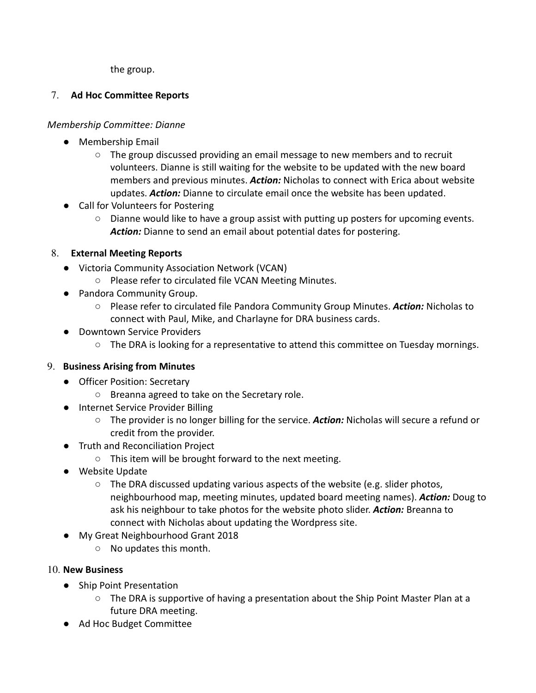the group.

# 7. Ad Hoc Committee Reports

# Membership Committee: Dianne

- Membership Email
	- $\circ$  The group discussed providing an email message to new members and to recruit volunteers. Dianne is still waiting for the website to be updated with the new board members and previous minutes. **Action:** Nicholas to connect with Erica about website updates. Action: Dianne to circulate email once the website has been updated.
- Call for Volunteers for Postering
	- Dianne would like to have a group assist with putting up posters for upcoming events. Action: Dianne to send an email about potential dates for postering.

# 8. External Meeting Reports

- Victoria Community Association Network (VCAN)
	- Please refer to circulated file VCAN Meeting Minutes.
- Pandora Community Group.
	- Please refer to circulated file Pandora Community Group Minutes. Action: Nicholas to connect with Paul, Mike, and Charlayne for DRA business cards.
- Downtown Service Providers
	- $\circ$  The DRA is looking for a representative to attend this committee on Tuesday mornings.

## 9. Business Arising from Minutes

- Officer Position: Secretary
	- Breanna agreed to take on the Secretary role.
- Internet Service Provider Billing
	- $\circ$  The provider is no longer billing for the service. Action: Nicholas will secure a refund or credit from the provider.
- Truth and Reconciliation Project
	- This item will be brought forward to the next meeting.
- Website Update
	- $\circ$  The DRA discussed updating various aspects of the website (e.g. slider photos, neighbourhood map, meeting minutes, updated board meeting names). Action: Doug to ask his neighbour to take photos for the website photo slider. Action: Breanna to connect with Nicholas about updating the Wordpress site.
- My Great Neighbourhood Grant 2018
	- No updates this month.
- 10. New Business
	- Ship Point Presentation
		- The DRA is supportive of having a presentation about the Ship Point Master Plan at a future DRA meeting.
	- Ad Hoc Budget Committee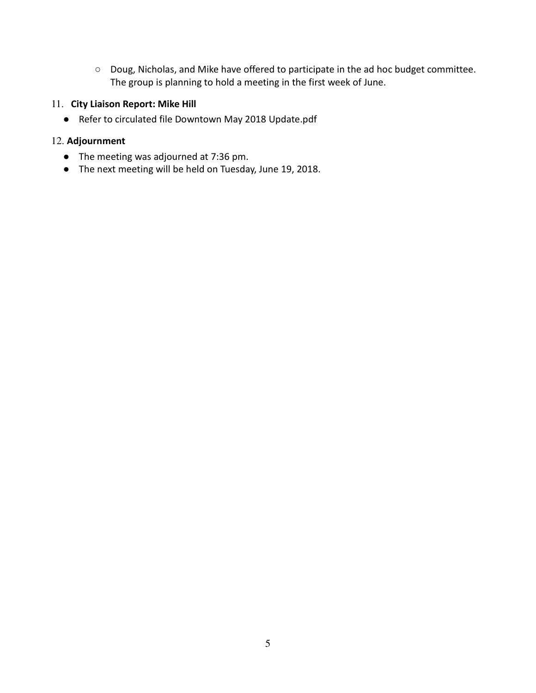○ Doug, Nicholas, and Mike have offered to participate in the ad hoc budget committee. The group is planning to hold a meeting in the first week of June.

#### 11. City Liaison Report: Mike Hill

● Refer to circulated file Downtown May 2018 Update.pdf

## 12. Adjournment

- The meeting was adjourned at 7:36 pm.
- The next meeting will be held on Tuesday, June 19, 2018.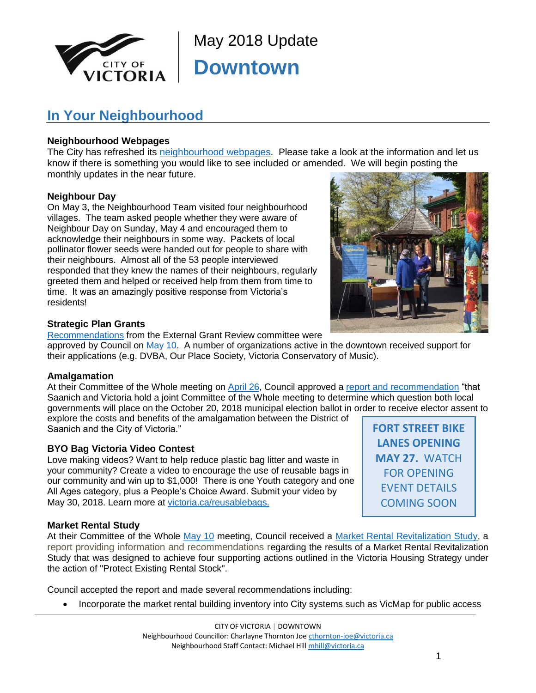

May 2018 Update **Downtown**

# **In Your Neighbourhood**

#### **Neighbourhood Webpages**

The City has refreshed its [neighbourhood webpages.](http://www.victoria.ca/EN/main/residents/neighbourhoods.html) Please take a look at the information and let us know if there is something you would like to see included or amended. We will begin posting the monthly updates in the near future.

#### **Neighbour Day**

On May 3, the Neighbourhood Team visited four neighbourhood villages. The team asked people whether they were aware of Neighbour Day on Sunday, May 4 and encouraged them to acknowledge their neighbours in some way. Packets of local pollinator flower seeds were handed out for people to share with their neighbours. Almost all of the 53 people interviewed responded that they knew the names of their neighbours, regularly greeted them and helped or received help from them from time to time. It was an amazingly positive response from Victoria's residents!



**FORT STREET BIKE LANES OPENING MAY 27.** WATCH FOR OPENING EVENT DETAILS COMING SOON

#### **Strategic Plan Grants**

[Recommendations](https://pub-victoria.escribemeetings.com/filestream.ashx?DocumentId=12456) from the External Grant Review committee were

approved by Council on [May 10.](https://pub-victoria.escribemeetings.com/Meeting?Id=a45a1adb-4f80-4306-9d56-22d8851bfbd3&Agenda=Merged&lang=English) A number of organizations active in the downtown received support for their applications (e.g. DVBA, Our Place Society, Victoria Conservatory of Music).

#### **Amalgamation**

At their Committee of the Whole meeting on [April 26,](https://pub-victoria.escribemeetings.com/Meeting?Id=c051994d-3506-4a06-b7dc-8a5c07390c32&Agenda=Merged&lang=English) Council approved a [report and recommendation](https://pub-victoria.escribemeetings.com/filestream.ashx?DocumentId=12113) "that Saanich and Victoria hold a joint Committee of the Whole meeting to determine which question both local governments will place on the October 20, 2018 municipal election ballot in order to receive elector assent to explore the costs and benefits of the amalgamation between the District of

Saanich and the City of Victoria."

#### **BYO Bag Victoria Video Contest**

Love making videos? Want to help reduce plastic bag litter and waste in your community? Create a video to encourage the use of reusable bags in our community and win up to \$1,000! There is one Youth category and one All Ages category, plus a People's Choice Award. Submit your video by May 30, 2018. Learn more at [victoria.ca/reusablebags](http://www.victoria.ca/reusablebags).

**Market Rental Study**

At their Committee of the Whole [May 10](https://pub-victoria.escribemeetings.com/Meeting?Id=a45a1adb-4f80-4306-9d56-22d8851bfbd3&Agenda=Merged&lang=English) meeting, Council received a [Market Rental Revitalization Study,](https://pub-victoria.escribemeetings.com/filestream.ashx?DocumentId=12462) a report providing information and recommendations regarding the results of a Market Rental Revitalization Study that was designed to achieve four supporting actions outlined in the Victoria Housing Strategy under the action of "Protect Existing Rental Stock".

Council accepted the report and made several recommendations including:

Incorporate the market rental building inventory into City systems such as VicMap for public access